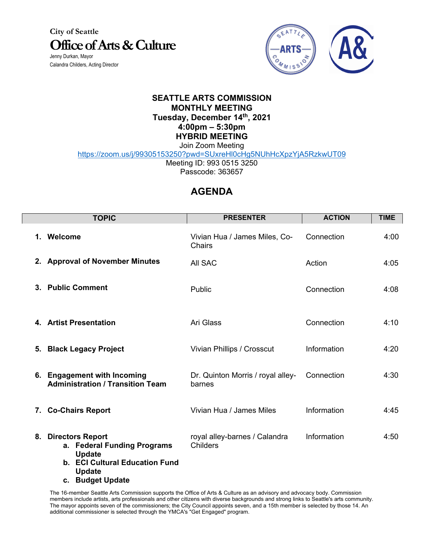**City of Seattle Office of Arts & Culture** Jenny Durkan, Mayor

Calandra Childers, Acting Director



## **SEATTLE ARTS COMMISSION MONTHLY MEETING Tuesday, December 14th, 2021 4:00pm – 5:30pm HYBRID MEETING**

Join Zoom Meeting https://zoom.us/j/99305153250?pwd=SUxreHl0cHg5NUhHcXpzYjA5RzkwUT09 Meeting ID: 993 0515 3250

Passcode: 363657

## **AGENDA**

|    | <b>TOPIC</b>                                                                                                           | <b>PRESENTER</b>                                 | <b>ACTION</b> | <b>TIME</b> |
|----|------------------------------------------------------------------------------------------------------------------------|--------------------------------------------------|---------------|-------------|
|    | 1. Welcome                                                                                                             | Vivian Hua / James Miles, Co-<br><b>Chairs</b>   | Connection    | 4:00        |
|    | 2. Approval of November Minutes                                                                                        | All SAC                                          | Action        | 4:05        |
|    | 3. Public Comment                                                                                                      | Public                                           | Connection    | 4:08        |
|    | 4. Artist Presentation                                                                                                 | Ari Glass                                        | Connection    | 4:10        |
| 5. | <b>Black Legacy Project</b>                                                                                            | Vivian Phillips / Crosscut                       | Information   | 4:20        |
|    | 6. Engagement with Incoming<br><b>Administration / Transition Team</b>                                                 | Dr. Quinton Morris / royal alley-<br>barnes      | Connection    | 4:30        |
|    | 7. Co-Chairs Report                                                                                                    | Vivian Hua / James Miles                         | Information   | 4:45        |
|    | 8. Directors Report<br>a. Federal Funding Programs<br><b>Update</b><br>b. ECI Cultural Education Fund<br><b>Update</b> | royal alley-barnes / Calandra<br><b>Childers</b> | Information   | 4:50        |

**c. Budget Update**

The 16-member Seattle Arts Commission supports the Office of Arts & Culture as an advisory and advocacy body. Commission members include artists, arts professionals and other citizens with diverse backgrounds and strong links to Seattle's arts community. The mayor appoints seven of the commissioners; the City Council appoints seven, and a 15th member is selected by those 14. An additional commissioner is selected through the YMCA's "Get Engaged" program.